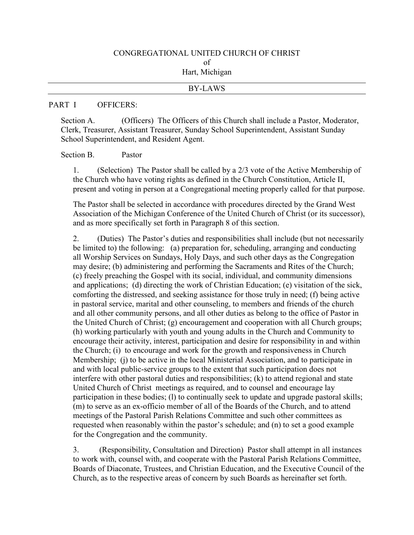#### CONGREGATIONAL UNITED CHURCH OF CHRIST of Hart, Michigan

# BY-LAWS

#### PART I OFFICERS:

Section A. (Officers) The Officers of this Church shall include a Pastor, Moderator, Clerk, Treasurer, Assistant Treasurer, Sunday School Superintendent, Assistant Sunday School Superintendent, and Resident Agent.

#### Section B. Pastor

1. (Selection) The Pastor shall be called by a 2/3 vote of the Active Membership of the Church who have voting rights as defined in the Church Constitution, Article II, present and voting in person at a Congregational meeting properly called for that purpose.

The Pastor shall be selected in accordance with procedures directed by the Grand West Association of the Michigan Conference of the United Church of Christ (or its successor), and as more specifically set forth in Paragraph 8 of this section.

2. (Duties) The Pastor's duties and responsibilities shall include (but not necessarily be limited to) the following: (a) preparation for, scheduling, arranging and conducting all Worship Services on Sundays, Holy Days, and such other days as the Congregation may desire; (b) administering and performing the Sacraments and Rites of the Church; (c) freely preaching the Gospel with its social, individual, and community dimensions and applications; (d) directing the work of Christian Education; (e) visitation of the sick, comforting the distressed, and seeking assistance for those truly in need; (f) being active in pastoral service, marital and other counseling, to members and friends of the church and all other community persons, and all other duties as belong to the office of Pastor in the United Church of Christ; (g) encouragement and cooperation with all Church groups; (h) working particularly with youth and young adults in the Church and Community to encourage their activity, interest, participation and desire for responsibility in and within the Church; (i) to encourage and work for the growth and responsiveness in Church Membership; (j) to be active in the local Ministerial Association, and to participate in and with local public-service groups to the extent that such participation does not interfere with other pastoral duties and responsibilities; (k) to attend regional and state United Church of Christ meetings as required, and to counsel and encourage lay participation in these bodies; (l) to continually seek to update and upgrade pastoral skills; (m) to serve as an ex-officio member of all of the Boards of the Church, and to attend meetings of the Pastoral Parish Relations Committee and such other committees as requested when reasonably within the pastor's schedule; and (n) to set a good example for the Congregation and the community.

3. (Responsibility, Consultation and Direction) Pastor shall attempt in all instances to work with, counsel with, and cooperate with the Pastoral Parish Relations Committee, Boards of Diaconate, Trustees, and Christian Education, and the Executive Council of the Church, as to the respective areas of concern by such Boards as hereinafter set forth.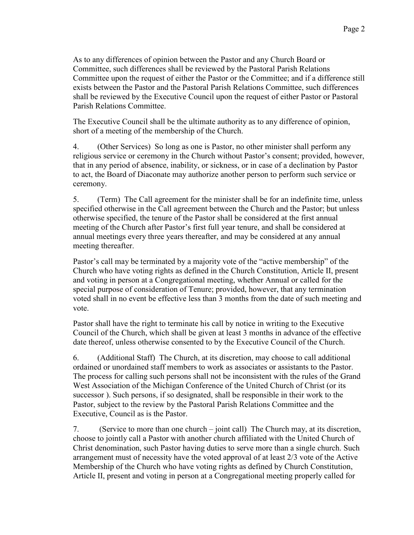As to any differences of opinion between the Pastor and any Church Board or Committee, such differences shall be reviewed by the Pastoral Parish Relations Committee upon the request of either the Pastor or the Committee; and if a difference still exists between the Pastor and the Pastoral Parish Relations Committee, such differences shall be reviewed by the Executive Council upon the request of either Pastor or Pastoral Parish Relations Committee.

The Executive Council shall be the ultimate authority as to any difference of opinion, short of a meeting of the membership of the Church.

4. (Other Services) So long as one is Pastor, no other minister shall perform any religious service or ceremony in the Church without Pastor's consent; provided, however, that in any period of absence, inability, or sickness, or in case of a declination by Pastor to act, the Board of Diaconate may authorize another person to perform such service or ceremony.

5. (Term) The Call agreement for the minister shall be for an indefinite time, unless specified otherwise in the Call agreement between the Church and the Pastor; but unless otherwise specified, the tenure of the Pastor shall be considered at the first annual meeting of the Church after Pastor's first full year tenure, and shall be considered at annual meetings every three years thereafter, and may be considered at any annual meeting thereafter.

Pastor's call may be terminated by a majority vote of the "active membership" of the Church who have voting rights as defined in the Church Constitution, Article II, present and voting in person at a Congregational meeting, whether Annual or called for the special purpose of consideration of Tenure; provided, however, that any termination voted shall in no event be effective less than 3 months from the date of such meeting and vote.

Pastor shall have the right to terminate his call by notice in writing to the Executive Council of the Church, which shall be given at least 3 months in advance of the effective date thereof, unless otherwise consented to by the Executive Council of the Church.

6. (Additional Staff) The Church, at its discretion, may choose to call additional ordained or unordained staff members to work as associates or assistants to the Pastor. The process for calling such persons shall not be inconsistent with the rules of the Grand West Association of the Michigan Conference of the United Church of Christ (or its successor ). Such persons, if so designated, shall be responsible in their work to the Pastor, subject to the review by the Pastoral Parish Relations Committee and the Executive, Council as is the Pastor.

7. (Service to more than one church – joint call) The Church may, at its discretion, choose to jointly call a Pastor with another church affiliated with the United Church of Christ denomination, such Pastor having duties to serve more than a single church. Such arrangement must of necessity have the voted approval of at least 2/3 vote of the Active Membership of the Church who have voting rights as defined by Church Constitution, Article II, present and voting in person at a Congregational meeting properly called for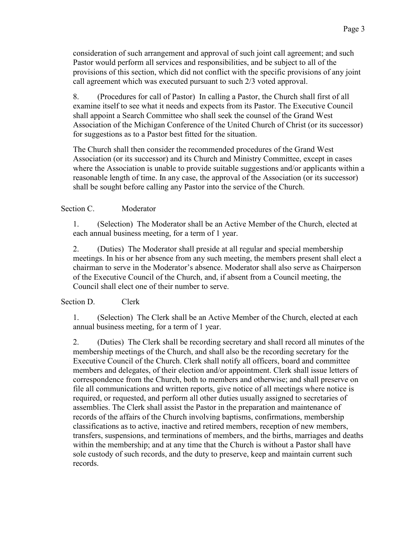consideration of such arrangement and approval of such joint call agreement; and such Pastor would perform all services and responsibilities, and be subject to all of the provisions of this section, which did not conflict with the specific provisions of any joint call agreement which was executed pursuant to such 2/3 voted approval.

8. (Procedures for call of Pastor) In calling a Pastor, the Church shall first of all examine itself to see what it needs and expects from its Pastor. The Executive Council shall appoint a Search Committee who shall seek the counsel of the Grand West Association of the Michigan Conference of the United Church of Christ (or its successor) for suggestions as to a Pastor best fitted for the situation.

The Church shall then consider the recommended procedures of the Grand West Association (or its successor) and its Church and Ministry Committee, except in cases where the Association is unable to provide suitable suggestions and/or applicants within a reasonable length of time. In any case, the approval of the Association (or its successor) shall be sought before calling any Pastor into the service of the Church.

# Section C. Moderator

1. (Selection) The Moderator shall be an Active Member of the Church, elected at each annual business meeting, for a term of 1 year.

2. (Duties) The Moderator shall preside at all regular and special membership meetings. In his or her absence from any such meeting, the members present shall elect a chairman to serve in the Moderator's absence. Moderator shall also serve as Chairperson of the Executive Council of the Church, and, if absent from a Council meeting, the Council shall elect one of their number to serve.

## Section D. Clerk

1. (Selection) The Clerk shall be an Active Member of the Church, elected at each annual business meeting, for a term of 1 year.

2. (Duties) The Clerk shall be recording secretary and shall record all minutes of the membership meetings of the Church, and shall also be the recording secretary for the Executive Council of the Church. Clerk shall notify all officers, board and committee members and delegates, of their election and/or appointment. Clerk shall issue letters of correspondence from the Church, both to members and otherwise; and shall preserve on file all communications and written reports, give notice of all meetings where notice is required, or requested, and perform all other duties usually assigned to secretaries of assemblies. The Clerk shall assist the Pastor in the preparation and maintenance of records of the affairs of the Church involving baptisms, confirmations, membership classifications as to active, inactive and retired members, reception of new members, transfers, suspensions, and terminations of members, and the births, marriages and deaths within the membership; and at any time that the Church is without a Pastor shall have sole custody of such records, and the duty to preserve, keep and maintain current such records.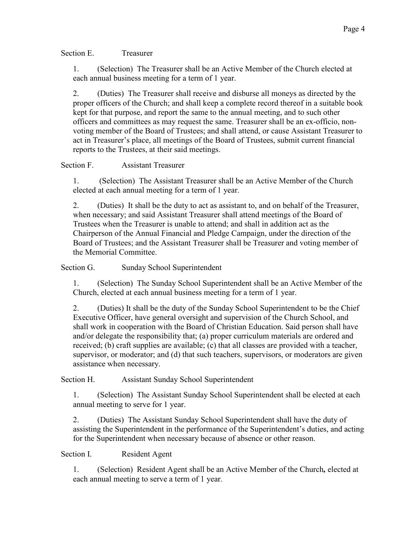Section E. Treasurer

1. (Selection) The Treasurer shall be an Active Member of the Church elected at each annual business meeting for a term of 1 year.

2. (Duties) The Treasurer shall receive and disburse all moneys as directed by the proper officers of the Church; and shall keep a complete record thereof in a suitable book kept for that purpose, and report the same to the annual meeting, and to such other officers and committees as may request the same. Treasurer shall be an ex-officio, nonvoting member of the Board of Trustees; and shall attend, or cause Assistant Treasurer to act in Treasurer's place, all meetings of the Board of Trustees, submit current financial reports to the Trustees, at their said meetings.

## Section F. Assistant Treasurer

1. (Selection) The Assistant Treasurer shall be an Active Member of the Church elected at each annual meeting for a term of 1 year.

2. (Duties) It shall be the duty to act as assistant to, and on behalf of the Treasurer, when necessary; and said Assistant Treasurer shall attend meetings of the Board of Trustees when the Treasurer is unable to attend; and shall in addition act as the Chairperson of the Annual Financial and Pledge Campaign, under the direction of the Board of Trustees; and the Assistant Treasurer shall be Treasurer and voting member of the Memorial Committee.

Section G. Sunday School Superintendent

1. (Selection) The Sunday School Superintendent shall be an Active Member of the Church, elected at each annual business meeting for a term of 1 year.

2. (Duties) It shall be the duty of the Sunday School Superintendent to be the Chief Executive Officer, have general oversight and supervision of the Church School, and shall work in cooperation with the Board of Christian Education. Said person shall have and/or delegate the responsibility that; (a) proper curriculum materials are ordered and received; (b) craft supplies are available; (c) that all classes are provided with a teacher, supervisor, or moderator; and (d) that such teachers, supervisors, or moderators are given assistance when necessary.

Section H. Assistant Sunday School Superintendent

1. (Selection) The Assistant Sunday School Superintendent shall be elected at each annual meeting to serve for 1 year.

2. (Duties) The Assistant Sunday School Superintendent shall have the duty of assisting the Superintendent in the performance of the Superintendent's duties, and acting for the Superintendent when necessary because of absence or other reason.

Section I. Resident Agent

1. (Selection) Resident Agent shall be an Active Member of the Church*,* elected at each annual meeting to serve a term of 1 year.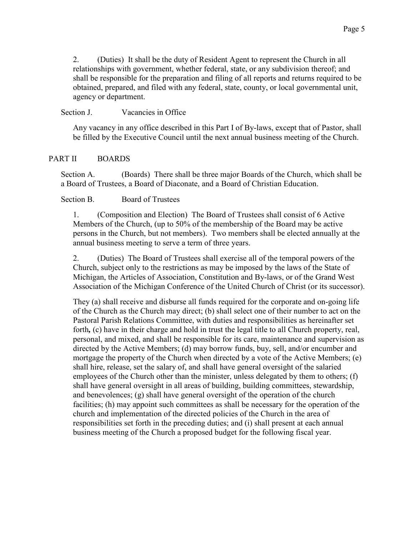2. (Duties) It shall be the duty of Resident Agent to represent the Church in all relationships with government, whether federal, state, or any subdivision thereof; and shall be responsible for the preparation and filing of all reports and returns required to be obtained, prepared, and filed with any federal, state, county, or local governmental unit, agency or department.

## Section J. Vacancies in Office

Any vacancy in any office described in this Part I of By-laws, except that of Pastor, shall be filled by the Executive Council until the next annual business meeting of the Church.

# PART II BOARDS

Section A. (Boards) There shall be three major Boards of the Church, which shall be a Board of Trustees, a Board of Diaconate, and a Board of Christian Education.

# Section B. Board of Trustees

1. (Composition and Election) The Board of Trustees shall consist of 6 Active Members of the Church, (up to 50% of the membership of the Board may be active persons in the Church, but not members). Two members shall be elected annually at the annual business meeting to serve a term of three years.

2. (Duties) The Board of Trustees shall exercise all of the temporal powers of the Church, subject only to the restrictions as may be imposed by the laws of the State of Michigan, the Articles of Association, Constitution and By-laws, or of the Grand West Association of the Michigan Conference of the United Church of Christ (or its successor).

They (a) shall receive and disburse all funds required for the corporate and on-going life of the Church as the Church may direct; (b) shall select one of their number to act on the Pastoral Parish Relations Committee, with duties and responsibilities as hereinafter set forth*,* (c) have in their charge and hold in trust the legal title to all Church property, real, personal, and mixed, and shall be responsible for its care, maintenance and supervision as directed by the Active Members; (d) may borrow funds, buy, sell, and/or encumber and mortgage the property of the Church when directed by a vote of the Active Members; (e) shall hire, release, set the salary of, and shall have general oversight of the salaried employees of the Church other than the minister, unless delegated by them to others; (f) shall have general oversight in all areas of building, building committees, stewardship, and benevolences; (g) shall have general oversight of the operation of the church facilities; (h) may appoint such committees as shall be necessary for the operation of the church and implementation of the directed policies of the Church in the area of responsibilities set forth in the preceding duties; and (i) shall present at each annual business meeting of the Church a proposed budget for the following fiscal year.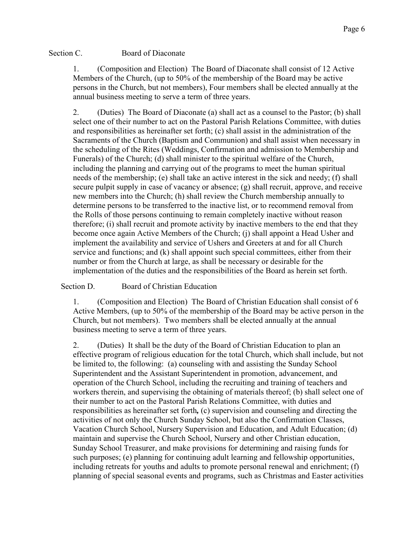Section C. Board of Diaconate

1. (Composition and Election) The Board of Diaconate shall consist of 12 Active Members of the Church, (up to 50% of the membership of the Board may be active persons in the Church, but not members), Four members shall be elected annually at the annual business meeting to serve a term of three years.

2. (Duties) The Board of Diaconate (a) shall act as a counsel to the Pastor; (b) shall select one of their number to act on the Pastoral Parish Relations Committee, with duties and responsibilities as hereinafter set forth; (c) shall assist in the administration of the Sacraments of the Church (Baptism and Communion) and shall assist when necessary in the scheduling of the Rites (Weddings, Confirmation and admission to Membership and Funerals) of the Church; (d) shall minister to the spiritual welfare of the Church, including the planning and carrying out of the programs to meet the human spiritual needs of the membership; (e) shall take an active interest in the sick and needy; (f) shall secure pulpit supply in case of vacancy or absence; (g) shall recruit, approve, and receive new members into the Church; (h) shall review the Church membership annually to determine persons to be transferred to the inactive list, or to recommend removal from the Rolls of those persons continuing to remain completely inactive without reason therefore; (i) shall recruit and promote activity by inactive members to the end that they become once again Active Members of the Church; (j) shall appoint a Head Usher and implement the availability and service of Ushers and Greeters at and for all Church service and functions; and (k) shall appoint such special committees, either from their number or from the Church at large, as shall be necessary or desirable for the implementation of the duties and the responsibilities of the Board as herein set forth.

Section D. Board of Christian Education

1. (Composition and Election) The Board of Christian Education shall consist of 6 Active Members, (up to 50% of the membership of the Board may be active person in the Church, but not members). Two members shall be elected annually at the annual business meeting to serve a term of three years.

2. (Duties) It shall be the duty of the Board of Christian Education to plan an effective program of religious education for the total Church, which shall include, but not be limited to, the following: (a) counseling with and assisting the Sunday School Superintendent and the Assistant Superintendent in promotion, advancement, and operation of the Church School, including the recruiting and training of teachers and workers therein, and supervising the obtaining of materials thereof; (b) shall select one of their number to act on the Pastoral Parish Relations Committee, with duties and responsibilities as hereinafter set forth*,* (c) supervision and counseling and directing the activities of not only the Church Sunday School, but also the Confirmation Classes, Vacation Church School, Nursery Supervision and Education, and Adult Education; (d) maintain and supervise the Church School, Nursery and other Christian education, Sunday School Treasurer, and make provisions for determining and raising funds for such purposes; (e) planning for continuing adult learning and fellowship opportunities, including retreats for youths and adults to promote personal renewal and enrichment; (f) planning of special seasonal events and programs, such as Christmas and Easter activities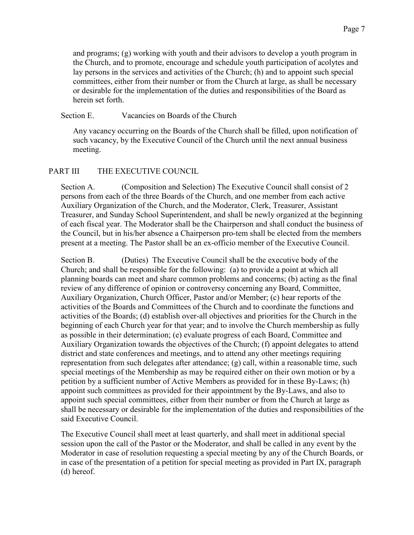and programs; (g) working with youth and their advisors to develop a youth program in the Church, and to promote, encourage and schedule youth participation of acolytes and lay persons in the services and activities of the Church; (h) and to appoint such special committees, either from their number or from the Church at large, as shall be necessary or desirable for the implementation of the duties and responsibilities of the Board as herein set forth.

#### Section E. Vacancies on Boards of the Church

Any vacancy occurring on the Boards of the Church shall be filled, upon notification of such vacancy, by the Executive Council of the Church until the next annual business meeting.

## PART III THE EXECUTIVE COUNCIL

Section A. (Composition and Selection) The Executive Council shall consist of 2 persons from each of the three Boards of the Church, and one member from each active Auxiliary Organization of the Church, and the Moderator, Clerk, Treasurer, Assistant Treasurer, and Sunday School Superintendent, and shall be newly organized at the beginning of each fiscal year. The Moderator shall be the Chairperson and shall conduct the business of the Council, but in his/her absence a Chairperson pro-tem shall be elected from the members present at a meeting. The Pastor shall be an ex-officio member of the Executive Council.

Section B. (Duties) The Executive Council shall be the executive body of the Church; and shall be responsible for the following: (a) to provide a point at which all planning boards can meet and share common problems and concerns; (b) acting as the final review of any difference of opinion or controversy concerning any Board, Committee, Auxiliary Organization, Church Officer, Pastor and/or Member; (c) hear reports of the activities of the Boards and Committees of the Church and to coordinate the functions and activities of the Boards; (d) establish over-all objectives and priorities for the Church in the beginning of each Church year for that year; and to involve the Church membership as fully as possible in their determination; (e) evaluate progress of each Board, Committee and Auxiliary Organization towards the objectives of the Church; (f) appoint delegates to attend district and state conferences and meetings, and to attend any other meetings requiring representation from such delegates after attendance; (g) call, within a reasonable time, such special meetings of the Membership as may be required either on their own motion or by a petition by a sufficient number of Active Members as provided for in these By-Laws; (h) appoint such committees as provided for their appointment by the By-Laws, and also to appoint such special committees, either from their number or from the Church at large as shall be necessary or desirable for the implementation of the duties and responsibilities of the said Executive Council.

The Executive Council shall meet at least quarterly, and shall meet in additional special session upon the call of the Pastor or the Moderator, and shall be called in any event by the Moderator in case of resolution requesting a special meeting by any of the Church Boards, or in case of the presentation of a petition for special meeting as provided in Part IX, paragraph (d) hereof.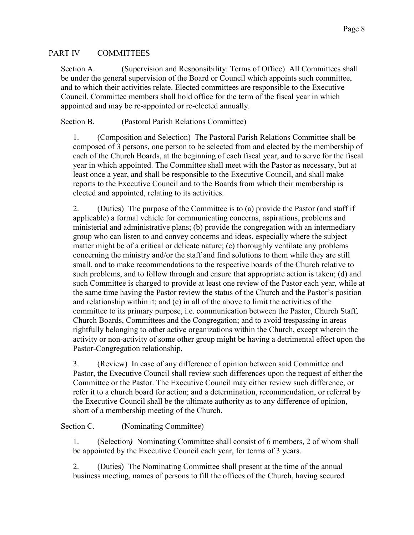## PART IV COMMITTEES

Section A. (Supervision and Responsibility: Terms of Office) All Committees shall be under the general supervision of the Board or Council which appoints such committee, and to which their activities relate. Elected committees are responsible to the Executive Council. Committee members shall hold office for the term of the fiscal year in which appointed and may be re-appointed or re-elected annually.

Section B. (Pastoral Parish Relations Committee)

1. (Composition and Selection) The Pastoral Parish Relations Committee shall be composed of 3 persons, one person to be selected from and elected by the membership of each of the Church Boards, at the beginning of each fiscal year, and to serve for the fiscal year in which appointed. The Committee shall meet with the Pastor as necessary, but at least once a year, and shall be responsible to the Executive Council, and shall make reports to the Executive Council and to the Boards from which their membership is elected and appointed, relating to its activities.

2. (Duties) The purpose of the Committee is to (a) provide the Pastor (and staff if applicable) a formal vehicle for communicating concerns, aspirations, problems and ministerial and administrative plans; (b) provide the congregation with an intermediary group who can listen to and convey concerns and ideas, especially where the subject matter might be of a critical or delicate nature; (c) thoroughly ventilate any problems concerning the ministry and/or the staff and find solutions to them while they are still small, and to make recommendations to the respective boards of the Church relative to such problems, and to follow through and ensure that appropriate action is taken; (d) and such Committee is charged to provide at least one review of the Pastor each year, while at the same time having the Pastor review the status of the Church and the Pastor's position and relationship within it; and (e) in all of the above to limit the activities of the committee to its primary purpose, i.e. communication between the Pastor, Church Staff, Church Boards, Committees and the Congregation; and to avoid trespassing in areas rightfully belonging to other active organizations within the Church, except wherein the activity or non-activity of some other group might be having a detrimental effect upon the Pastor-Congregation relationship.

3. (Review) In case of any difference of opinion between said Committee and Pastor, the Executive Council shall review such differences upon the request of either the Committee or the Pastor. The Executive Council may either review such difference, or refer it to a church board for action; and a determination, recommendation, or referral by the Executive Council shall be the ultimate authority as to any difference of opinion, short of a membership meeting of the Church.

# Section C. (Nominating Committee)

1. (Selection*)* Nominating Committee shall consist of 6 members, 2 of whom shall be appointed by the Executive Council each year, for terms of 3 years.

2. (Duties) The Nominating Committee shall present at the time of the annual business meeting, names of persons to fill the offices of the Church, having secured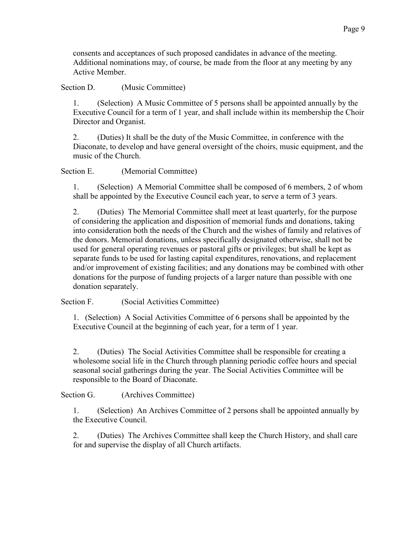consents and acceptances of such proposed candidates in advance of the meeting. Additional nominations may, of course, be made from the floor at any meeting by any Active Member.

Section D. (Music Committee)

1. (Selection) A Music Committee of 5 persons shall be appointed annually by the Executive Council for a term of 1 year, and shall include within its membership the Choir Director and Organist.

2. (Duties) It shall be the duty of the Music Committee, in conference with the Diaconate, to develop and have general oversight of the choirs, music equipment, and the music of the Church.

Section E. (Memorial Committee)

1. (Selection) A Memorial Committee shall be composed of 6 members, 2 of whom shall be appointed by the Executive Council each year, to serve a term of 3 years.

2. (Duties) The Memorial Committee shall meet at least quarterly, for the purpose of considering the application and disposition of memorial funds and donations, taking into consideration both the needs of the Church and the wishes of family and relatives of the donors. Memorial donations, unless specifically designated otherwise, shall not be used for general operating revenues or pastoral gifts or privileges; but shall be kept as separate funds to be used for lasting capital expenditures, renovations, and replacement and/or improvement of existing facilities; and any donations may be combined with other donations for the purpose of funding projects of a larger nature than possible with one donation separately.

Section F. (Social Activities Committee)

1. (Selection) A Social Activities Committee of 6 persons shall be appointed by the Executive Council at the beginning of each year, for a term of 1 year.

2. (Duties) The Social Activities Committee shall be responsible for creating a wholesome social life in the Church through planning periodic coffee hours and special seasonal social gatherings during the year. The Social Activities Committee will be responsible to the Board of Diaconate.

Section G. (Archives Committee)

1. (Selection) An Archives Committee of 2 persons shall be appointed annually by the Executive Council.

2. (Duties) The Archives Committee shall keep the Church History, and shall care for and supervise the display of all Church artifacts.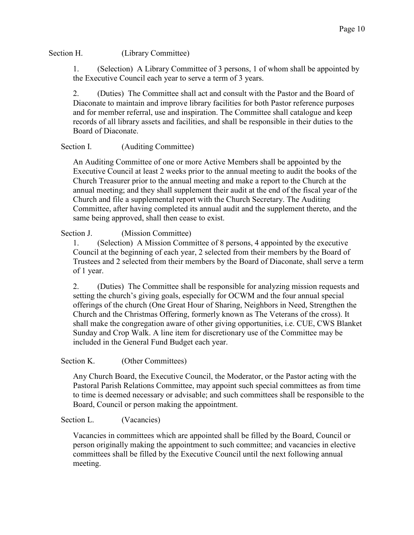### Section H. (Library Committee)

1. (Selection) A Library Committee of 3 persons, 1 of whom shall be appointed by the Executive Council each year to serve a term of 3 years.

2. (Duties) The Committee shall act and consult with the Pastor and the Board of Diaconate to maintain and improve library facilities for both Pastor reference purposes and for member referral, use and inspiration. The Committee shall catalogue and keep records of all library assets and facilities, and shall be responsible in their duties to the Board of Diaconate.

# Section I. (Auditing Committee)

An Auditing Committee of one or more Active Members shall be appointed by the Executive Council at least 2 weeks prior to the annual meeting to audit the books of the Church Treasurer prior to the annual meeting and make a report to the Church at the annual meeting; and they shall supplement their audit at the end of the fiscal year of the Church and file a supplemental report with the Church Secretary. The Auditing Committee, after having completed its annual audit and the supplement thereto, and the same being approved, shall then cease to exist.

## Section J. (Mission Committee)

1. (Selection) A Mission Committee of 8 persons, 4 appointed by the executive Council at the beginning of each year, 2 selected from their members by the Board of Trustees and 2 selected from their members by the Board of Diaconate, shall serve a term of 1 year.

2. (Duties) The Committee shall be responsible for analyzing mission requests and setting the church's giving goals, especially for OCWM and the four annual special offerings of the church (One Great Hour of Sharing, Neighbors in Need, Strengthen the Church and the Christmas Offering, formerly known as The Veterans of the cross). It shall make the congregation aware of other giving opportunities, i.e. CUE, CWS Blanket Sunday and Crop Walk. A line item for discretionary use of the Committee may be included in the General Fund Budget each year.

## Section K. (Other Committees)

Any Church Board, the Executive Council, the Moderator, or the Pastor acting with the Pastoral Parish Relations Committee, may appoint such special committees as from time to time is deemed necessary or advisable; and such committees shall be responsible to the Board, Council or person making the appointment.

## Section L. (Vacancies)

Vacancies in committees which are appointed shall be filled by the Board, Council or person originally making the appointment to such committee; and vacancies in elective committees shall be filled by the Executive Council until the next following annual meeting.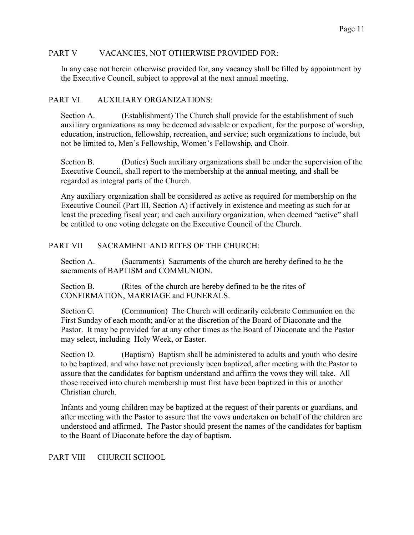#### PART V VACANCIES, NOT OTHERWISE PROVIDED FOR:

In any case not herein otherwise provided for, any vacancy shall be filled by appointment by the Executive Council, subject to approval at the next annual meeting.

## PART VI. AUXILIARY ORGANIZATIONS:

Section A. (Establishment) The Church shall provide for the establishment of such auxiliary organizations as may be deemed advisable or expedient, for the purpose of worship, education, instruction, fellowship, recreation, and service; such organizations to include, but not be limited to, Men's Fellowship, Women's Fellowship, and Choir.

Section B. (Duties) Such auxiliary organizations shall be under the supervision of the Executive Council, shall report to the membership at the annual meeting, and shall be regarded as integral parts of the Church.

Any auxiliary organization shall be considered as active as required for membership on the Executive Council (Part III, Section A) if actively in existence and meeting as such for at least the preceding fiscal year; and each auxiliary organization, when deemed "active" shall be entitled to one voting delegate on the Executive Council of the Church.

## PART VII SACRAMENT AND RITES OF THE CHURCH:

Section A. (Sacraments) Sacraments of the church are hereby defined to be the sacraments of BAPTISM and COMMUNION.

Section B. (Rites of the church are hereby defined to be the rites of CONFIRMATION, MARRIAGE and FUNERALS.

Section C. (Communion) The Church will ordinarily celebrate Communion on the First Sunday of each month; and/or at the discretion of the Board of Diaconate and the Pastor. It may be provided for at any other times as the Board of Diaconate and the Pastor may select, including Holy Week, or Easter.

Section D. (Baptism) Baptism shall be administered to adults and youth who desire to be baptized, and who have not previously been baptized, after meeting with the Pastor to assure that the candidates for baptism understand and affirm the vows they will take. All those received into church membership must first have been baptized in this or another Christian church.

Infants and young children may be baptized at the request of their parents or guardians, and after meeting with the Pastor to assure that the vows undertaken on behalf of the children are understood and affirmed. The Pastor should present the names of the candidates for baptism to the Board of Diaconate before the day of baptism.

PART VIII CHURCH SCHOOL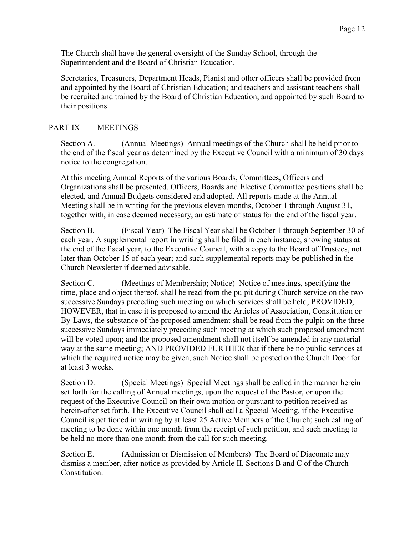The Church shall have the general oversight of the Sunday School, through the Superintendent and the Board of Christian Education.

Secretaries, Treasurers, Department Heads, Pianist and other officers shall be provided from and appointed by the Board of Christian Education; and teachers and assistant teachers shall be recruited and trained by the Board of Christian Education, and appointed by such Board to their positions.

# PART IX MEETINGS

Section A. (Annual Meetings) Annual meetings of the Church shall be held prior to the end of the fiscal year as determined by the Executive Council with a minimum of 30 days notice to the congregation.

At this meeting Annual Reports of the various Boards, Committees, Officers and Organizations shall be presented. Officers, Boards and Elective Committee positions shall be elected, and Annual Budgets considered and adopted. All reports made at the Annual Meeting shall be in writing for the previous eleven months, October 1 through August 31, together with, in case deemed necessary, an estimate of status for the end of the fiscal year.

Section B. (Fiscal Year) The Fiscal Year shall be October 1 through September 30 of each year. A supplemental report in writing shall be filed in each instance, showing status at the end of the fiscal year, to the Executive Council, with a copy to the Board of Trustees, not later than October 15 of each year; and such supplemental reports may be published in the Church Newsletter if deemed advisable.

Section C. (Meetings of Membership; Notice) Notice of meetings, specifying the time, place and object thereof, shall be read from the pulpit during Church service on the two successive Sundays preceding such meeting on which services shall be held; PROVIDED, HOWEVER, that in case it is proposed to amend the Articles of Association, Constitution or By-Laws, the substance of the proposed amendment shall be read from the pulpit on the three successive Sundays immediately preceding such meeting at which such proposed amendment will be voted upon; and the proposed amendment shall not itself be amended in any material way at the same meeting; AND PROVIDED FURTHER that if there be no public services at which the required notice may be given, such Notice shall be posted on the Church Door for at least 3 weeks.

Section D. (Special Meetings) Special Meetings shall be called in the manner herein set forth for the calling of Annual meetings, upon the request of the Pastor, or upon the request of the Executive Council on their own motion or pursuant to petition received as herein-after set forth. The Executive Council shall call a Special Meeting, if the Executive Council is petitioned in writing by at least 25 Active Members of the Church; such calling of meeting to be done within one month from the receipt of such petition, and such meeting to be held no more than one month from the call for such meeting.

Section E. (Admission or Dismission of Members) The Board of Diaconate may dismiss a member, after notice as provided by Article II, Sections B and C of the Church Constitution.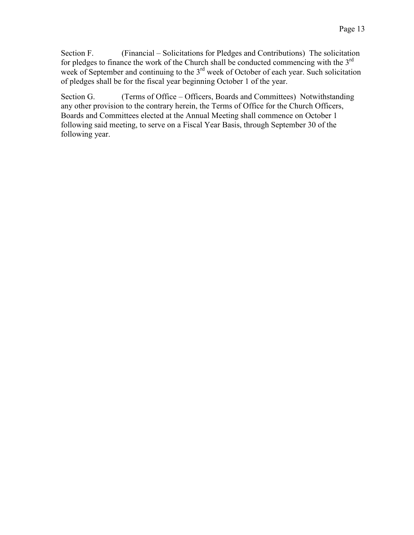Section F. (Financial – Solicitations for Pledges and Contributions) The solicitation for pledges to finance the work of the Church shall be conducted commencing with the 3<sup>rd</sup> week of September and continuing to the  $3<sup>rd</sup>$  week of October of each year. Such solicitation of pledges shall be for the fiscal year beginning October 1 of the year.

Section G. (Terms of Office – Officers, Boards and Committees) Notwithstanding any other provision to the contrary herein, the Terms of Office for the Church Officers, Boards and Committees elected at the Annual Meeting shall commence on October 1 following said meeting, to serve on a Fiscal Year Basis, through September 30 of the following year.